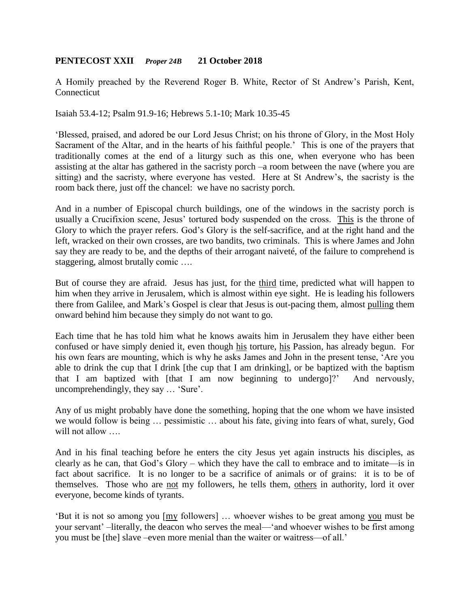## **PENTECOST XXII** *Proper 24B* **21 October 2018**

A Homily preached by the Reverend Roger B. White, Rector of St Andrew's Parish, Kent, Connecticut

Isaiah 53.4-12; Psalm 91.9-16; Hebrews 5.1-10; Mark 10.35-45

'Blessed, praised, and adored be our Lord Jesus Christ; on his throne of Glory, in the Most Holy Sacrament of the Altar, and in the hearts of his faithful people.' This is one of the prayers that traditionally comes at the end of a liturgy such as this one, when everyone who has been assisting at the altar has gathered in the sacristy porch –a room between the nave (where you are sitting) and the sacristy, where everyone has vested. Here at St Andrew's, the sacristy is the room back there, just off the chancel: we have no sacristy porch.

And in a number of Episcopal church buildings, one of the windows in the sacristy porch is usually a Crucifixion scene, Jesus' tortured body suspended on the cross. This is the throne of Glory to which the prayer refers. God's Glory is the self-sacrifice, and at the right hand and the left, wracked on their own crosses, are two bandits, two criminals. This is where James and John say they are ready to be, and the depths of their arrogant naiveté, of the failure to comprehend is staggering, almost brutally comic ….

But of course they are afraid. Jesus has just, for the third time, predicted what will happen to him when they arrive in Jerusalem, which is almost within eye sight. He is leading his followers there from Galilee, and Mark's Gospel is clear that Jesus is out-pacing them, almost pulling them onward behind him because they simply do not want to go.

Each time that he has told him what he knows awaits him in Jerusalem they have either been confused or have simply denied it, even though his torture, his Passion, has already begun. For his own fears are mounting, which is why he asks James and John in the present tense, 'Are you able to drink the cup that I drink [the cup that I am drinking], or be baptized with the baptism that I am baptized with [that I am now beginning to undergo]?' And nervously, uncomprehendingly, they say … 'Sure'.

Any of us might probably have done the something, hoping that the one whom we have insisted we would follow is being … pessimistic … about his fate, giving into fears of what, surely, God will not allow ...

And in his final teaching before he enters the city Jesus yet again instructs his disciples, as clearly as he can, that God's Glory – which they have the call to embrace and to imitate—is in fact about sacrifice. It is no longer to be a sacrifice of animals or of grains: it is to be of themselves. Those who are not my followers, he tells them, others in authority, lord it over everyone, become kinds of tyrants.

'But it is not so among you [my followers] … whoever wishes to be great among you must be your servant' –literally, the deacon who serves the meal—'and whoever wishes to be first among you must be [the] slave –even more menial than the waiter or waitress—of all.'